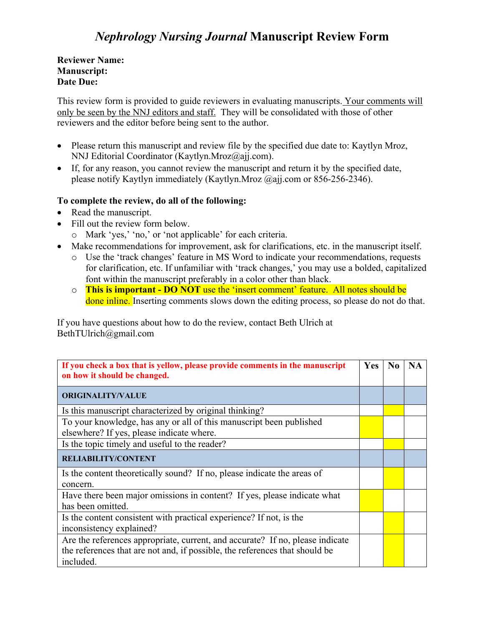## *Nephrology Nursing Journal* **Manuscript Review Form**

**Reviewer Name: Manuscript: Date Due:**

This review form is provided to guide reviewers in evaluating manuscripts. Your comments will only be seen by the NNJ editors and staff. They will be consolidated with those of other reviewers and the editor before being sent to the author.

- Please return this manuscript and review file by the specified due date to: Kaytlyn Mroz, NNJ Editorial Coordinator (Kaytlyn.Mroz@ajj.com).
- If, for any reason, you cannot review the manuscript and return it by the specified date, please notify Kaytlyn immediately (Kaytlyn.Mroz @ajj.com or 856-256-2346).

## **To complete the review, do all of the following:**

- Read the manuscript.
- Fill out the review form below.
	- o Mark 'yes,' 'no,' or 'not applicable' for each criteria.
- Make recommendations for improvement, ask for clarifications, etc. in the manuscript itself.
	- o Use the 'track changes' feature in MS Word to indicate your recommendations, requests for clarification, etc. If unfamiliar with 'track changes,' you may use a bolded, capitalized font within the manuscript preferably in a color other than black.
	- o **This is important - DO NOT** use the 'insert comment' feature. All notes should be done inline. Inserting comments slows down the editing process, so please do not do that.

If you have questions about how to do the review, contact Beth Ulrich at BethTUlrich@gmail.com

| If you check a box that is yellow, please provide comments in the manuscript<br>on how it should be changed.                                                              | <b>Yes</b> | $\bf No$ | <b>NA</b> |
|---------------------------------------------------------------------------------------------------------------------------------------------------------------------------|------------|----------|-----------|
| <b>ORIGINALITY/VALUE</b>                                                                                                                                                  |            |          |           |
| Is this manuscript characterized by original thinking?                                                                                                                    |            |          |           |
| To your knowledge, has any or all of this manuscript been published<br>elsewhere? If yes, please indicate where.                                                          |            |          |           |
| Is the topic timely and useful to the reader?                                                                                                                             |            |          |           |
| <b>RELIABILITY/CONTENT</b>                                                                                                                                                |            |          |           |
| Is the content theoretically sound? If no, please indicate the areas of<br>concern.                                                                                       |            |          |           |
| Have there been major omissions in content? If yes, please indicate what<br>has been omitted.                                                                             |            |          |           |
| Is the content consistent with practical experience? If not, is the<br>inconsistency explained?                                                                           |            |          |           |
| Are the references appropriate, current, and accurate? If no, please indicate<br>the references that are not and, if possible, the references that should be<br>included. |            |          |           |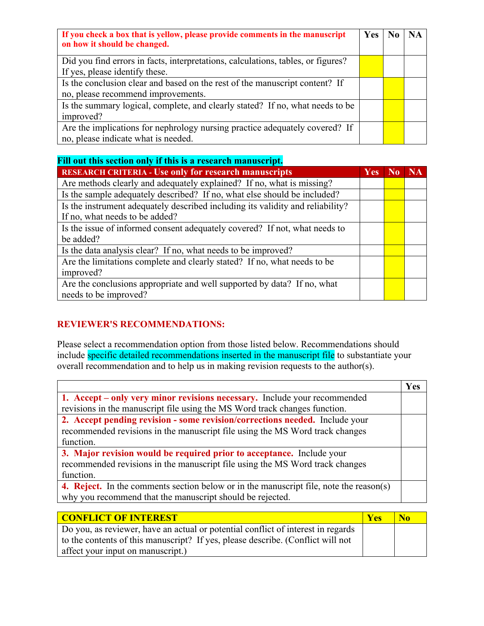| If you check a box that is yellow, please provide comments in the manuscript<br>on how it should be changed. | <b>Yes</b> | <b>NA</b> |
|--------------------------------------------------------------------------------------------------------------|------------|-----------|
| Did you find errors in facts, interpretations, calculations, tables, or figures?                             |            |           |
| If yes, please identify these.                                                                               |            |           |
| Is the conclusion clear and based on the rest of the manuscript content? If                                  |            |           |
| no, please recommend improvements.                                                                           |            |           |
| Is the summary logical, complete, and clearly stated? If no, what needs to be                                |            |           |
| improved?                                                                                                    |            |           |
| Are the implications for nephrology nursing practice adequately covered? If                                  |            |           |
| no, please indicate what is needed.                                                                          |            |           |

| Fill out this section only if this is a research manuscript.                   |            |                |           |
|--------------------------------------------------------------------------------|------------|----------------|-----------|
| <b>RESEARCH CRITERIA - Use only for research manuscripts</b>                   | <b>Yes</b> | N <sub>0</sub> | <b>NA</b> |
| Are methods clearly and adequately explained? If no, what is missing?          |            |                |           |
| Is the sample adequately described? If no, what else should be included?       |            |                |           |
| Is the instrument adequately described including its validity and reliability? |            |                |           |
| If no, what needs to be added?                                                 |            |                |           |
| Is the issue of informed consent adequately covered? If not, what needs to     |            |                |           |
| be added?                                                                      |            |                |           |
| Is the data analysis clear? If no, what needs to be improved?                  |            |                |           |
| Are the limitations complete and clearly stated? If no, what needs to be       |            |                |           |
| improved?                                                                      |            |                |           |
| Are the conclusions appropriate and well supported by data? If no, what        |            |                |           |
| needs to be improved?                                                          |            |                |           |

## **REVIEWER'S RECOMMENDATIONS:**

Please select a recommendation option from those listed below. Recommendations should include specific detailed recommendations inserted in the manuscript file to substantiate your overall recommendation and to help us in making revision requests to the author(s).

|                                                                                        | Yes |
|----------------------------------------------------------------------------------------|-----|
| 1. Accept – only very minor revisions necessary. Include your recommended              |     |
| revisions in the manuscript file using the MS Word track changes function.             |     |
| 2. Accept pending revision - some revision/corrections needed. Include your            |     |
| recommended revisions in the manuscript file using the MS Word track changes           |     |
| function.                                                                              |     |
| 3. Major revision would be required prior to acceptance. Include your                  |     |
| recommended revisions in the manuscript file using the MS Word track changes           |     |
| function.                                                                              |     |
| 4. Reject. In the comments section below or in the manuscript file, note the reason(s) |     |
| why you recommend that the manuscript should be rejected.                              |     |
|                                                                                        |     |

| <b>CONFLICT OF INTEREST</b>                                                      | <b>Ves</b> | N <sub>0</sub> |
|----------------------------------------------------------------------------------|------------|----------------|
| Do you, as reviewer, have an actual or potential conflict of interest in regards |            |                |
| to the contents of this manuscript? If yes, please describe. (Conflict will not  |            |                |
| affect your input on manuscript.)                                                |            |                |